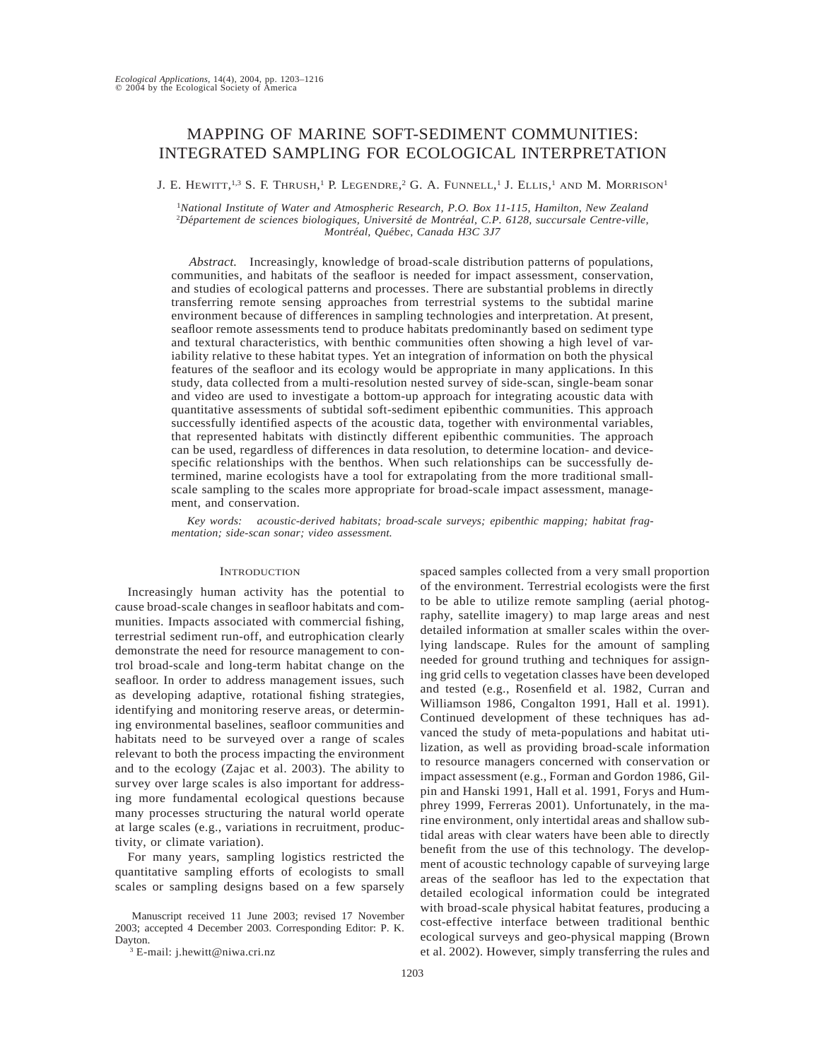# MAPPING OF MARINE SOFT-SEDIMENT COMMUNITIES: INTEGRATED SAMPLING FOR ECOLOGICAL INTERPRETATION

J. E. Hewitt,<sup>1,3</sup> S. F. Thrush,<sup>1</sup> P. Legendre,<sup>2</sup> G. A. Funnell,<sup>1</sup> J. Ellis,<sup>1</sup> and M. Morrison<sup>1</sup>

<sup>1</sup>*National Institute of Water and Atmospheric Research, P.O. Box 11-115, Hamilton, New Zealand* <sup>2</sup>Département de sciences biologiques, Université de Montréal, C.P. 6128, succursale Centre-ville, *Montre´al, Que´bec, Canada H3C 3J7*

*Abstract.* Increasingly, knowledge of broad-scale distribution patterns of populations, communities, and habitats of the seafloor is needed for impact assessment, conservation, and studies of ecological patterns and processes. There are substantial problems in directly transferring remote sensing approaches from terrestrial systems to the subtidal marine environment because of differences in sampling technologies and interpretation. At present, seafloor remote assessments tend to produce habitats predominantly based on sediment type and textural characteristics, with benthic communities often showing a high level of variability relative to these habitat types. Yet an integration of information on both the physical features of the seafloor and its ecology would be appropriate in many applications. In this study, data collected from a multi-resolution nested survey of side-scan, single-beam sonar and video are used to investigate a bottom-up approach for integrating acoustic data with quantitative assessments of subtidal soft-sediment epibenthic communities. This approach successfully identified aspects of the acoustic data, together with environmental variables, that represented habitats with distinctly different epibenthic communities. The approach can be used, regardless of differences in data resolution, to determine location- and devicespecific relationships with the benthos. When such relationships can be successfully determined, marine ecologists have a tool for extrapolating from the more traditional smallscale sampling to the scales more appropriate for broad-scale impact assessment, management, and conservation.

*Key words: acoustic-derived habitats; broad-scale surveys; epibenthic mapping; habitat fragmentation; side-scan sonar; video assessment.*

### **INTRODUCTION**

Increasingly human activity has the potential to cause broad-scale changes in seafloor habitats and communities. Impacts associated with commercial fishing, terrestrial sediment run-off, and eutrophication clearly demonstrate the need for resource management to control broad-scale and long-term habitat change on the seafloor. In order to address management issues, such as developing adaptive, rotational fishing strategies, identifying and monitoring reserve areas, or determining environmental baselines, seafloor communities and habitats need to be surveyed over a range of scales relevant to both the process impacting the environment and to the ecology (Zajac et al. 2003). The ability to survey over large scales is also important for addressing more fundamental ecological questions because many processes structuring the natural world operate at large scales (e.g., variations in recruitment, productivity, or climate variation).

For many years, sampling logistics restricted the quantitative sampling efforts of ecologists to small scales or sampling designs based on a few sparsely

Manuscript received 11 June 2003; revised 17 November 2003; accepted 4 December 2003. Corresponding Editor: P. K. Dayton.

<sup>3</sup> E-mail: j.hewitt@niwa.cri.nz

spaced samples collected from a very small proportion of the environment. Terrestrial ecologists were the first to be able to utilize remote sampling (aerial photography, satellite imagery) to map large areas and nest detailed information at smaller scales within the overlying landscape. Rules for the amount of sampling needed for ground truthing and techniques for assigning grid cells to vegetation classes have been developed and tested (e.g., Rosenfield et al. 1982, Curran and Williamson 1986, Congalton 1991, Hall et al. 1991). Continued development of these techniques has advanced the study of meta-populations and habitat utilization, as well as providing broad-scale information to resource managers concerned with conservation or impact assessment (e.g., Forman and Gordon 1986, Gilpin and Hanski 1991, Hall et al. 1991, Forys and Humphrey 1999, Ferreras 2001). Unfortunately, in the marine environment, only intertidal areas and shallow subtidal areas with clear waters have been able to directly benefit from the use of this technology. The development of acoustic technology capable of surveying large areas of the seafloor has led to the expectation that detailed ecological information could be integrated with broad-scale physical habitat features, producing a cost-effective interface between traditional benthic ecological surveys and geo-physical mapping (Brown et al. 2002). However, simply transferring the rules and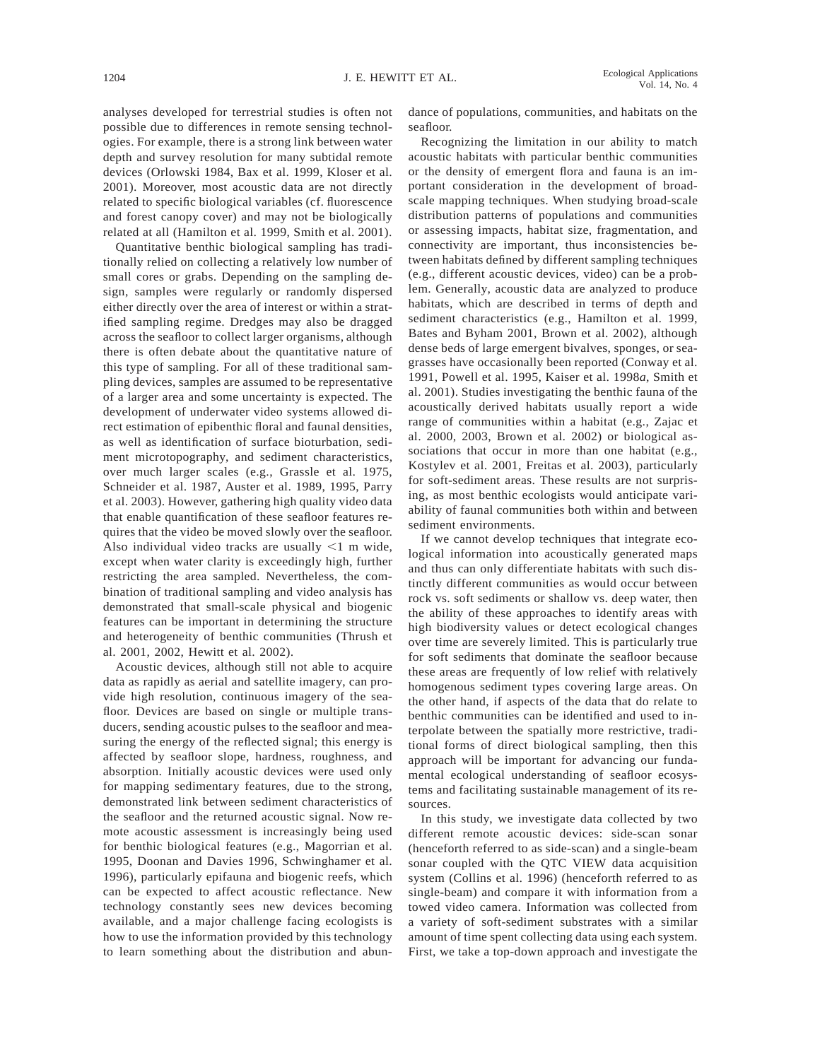analyses developed for terrestrial studies is often not possible due to differences in remote sensing technologies. For example, there is a strong link between water depth and survey resolution for many subtidal remote devices (Orlowski 1984, Bax et al. 1999, Kloser et al. 2001). Moreover, most acoustic data are not directly related to specific biological variables (cf. fluorescence and forest canopy cover) and may not be biologically related at all (Hamilton et al. 1999, Smith et al. 2001).

Quantitative benthic biological sampling has traditionally relied on collecting a relatively low number of small cores or grabs. Depending on the sampling design, samples were regularly or randomly dispersed either directly over the area of interest or within a stratified sampling regime. Dredges may also be dragged across the seafloor to collect larger organisms, although there is often debate about the quantitative nature of this type of sampling. For all of these traditional sampling devices, samples are assumed to be representative of a larger area and some uncertainty is expected. The development of underwater video systems allowed direct estimation of epibenthic floral and faunal densities, as well as identification of surface bioturbation, sediment microtopography, and sediment characteristics, over much larger scales (e.g., Grassle et al. 1975, Schneider et al. 1987, Auster et al. 1989, 1995, Parry et al. 2003). However, gathering high quality video data that enable quantification of these seafloor features requires that the video be moved slowly over the seafloor. Also individual video tracks are usually  $\leq 1$  m wide, except when water clarity is exceedingly high, further restricting the area sampled. Nevertheless, the combination of traditional sampling and video analysis has demonstrated that small-scale physical and biogenic features can be important in determining the structure and heterogeneity of benthic communities (Thrush et al. 2001, 2002, Hewitt et al. 2002).

Acoustic devices, although still not able to acquire data as rapidly as aerial and satellite imagery, can provide high resolution, continuous imagery of the seafloor. Devices are based on single or multiple transducers, sending acoustic pulses to the seafloor and measuring the energy of the reflected signal; this energy is affected by seafloor slope, hardness, roughness, and absorption. Initially acoustic devices were used only for mapping sedimentary features, due to the strong, demonstrated link between sediment characteristics of the seafloor and the returned acoustic signal. Now remote acoustic assessment is increasingly being used for benthic biological features (e.g., Magorrian et al. 1995, Doonan and Davies 1996, Schwinghamer et al. 1996), particularly epifauna and biogenic reefs, which can be expected to affect acoustic reflectance. New technology constantly sees new devices becoming available, and a major challenge facing ecologists is how to use the information provided by this technology to learn something about the distribution and abundance of populations, communities, and habitats on the seafloor.

Recognizing the limitation in our ability to match acoustic habitats with particular benthic communities or the density of emergent flora and fauna is an important consideration in the development of broadscale mapping techniques. When studying broad-scale distribution patterns of populations and communities or assessing impacts, habitat size, fragmentation, and connectivity are important, thus inconsistencies between habitats defined by different sampling techniques (e.g., different acoustic devices, video) can be a problem. Generally, acoustic data are analyzed to produce habitats, which are described in terms of depth and sediment characteristics (e.g., Hamilton et al. 1999, Bates and Byham 2001, Brown et al. 2002), although dense beds of large emergent bivalves, sponges, or seagrasses have occasionally been reported (Conway et al. 1991, Powell et al. 1995, Kaiser et al. 1998*a*, Smith et al. 2001). Studies investigating the benthic fauna of the acoustically derived habitats usually report a wide range of communities within a habitat (e.g., Zajac et al. 2000, 2003, Brown et al. 2002) or biological associations that occur in more than one habitat (e.g., Kostylev et al. 2001, Freitas et al. 2003), particularly for soft-sediment areas. These results are not surprising, as most benthic ecologists would anticipate variability of faunal communities both within and between sediment environments.

If we cannot develop techniques that integrate ecological information into acoustically generated maps and thus can only differentiate habitats with such distinctly different communities as would occur between rock vs. soft sediments or shallow vs. deep water, then the ability of these approaches to identify areas with high biodiversity values or detect ecological changes over time are severely limited. This is particularly true for soft sediments that dominate the seafloor because these areas are frequently of low relief with relatively homogenous sediment types covering large areas. On the other hand, if aspects of the data that do relate to benthic communities can be identified and used to interpolate between the spatially more restrictive, traditional forms of direct biological sampling, then this approach will be important for advancing our fundamental ecological understanding of seafloor ecosystems and facilitating sustainable management of its resources.

In this study, we investigate data collected by two different remote acoustic devices: side-scan sonar (henceforth referred to as side-scan) and a single-beam sonar coupled with the QTC VIEW data acquisition system (Collins et al. 1996) (henceforth referred to as single-beam) and compare it with information from a towed video camera. Information was collected from a variety of soft-sediment substrates with a similar amount of time spent collecting data using each system. First, we take a top-down approach and investigate the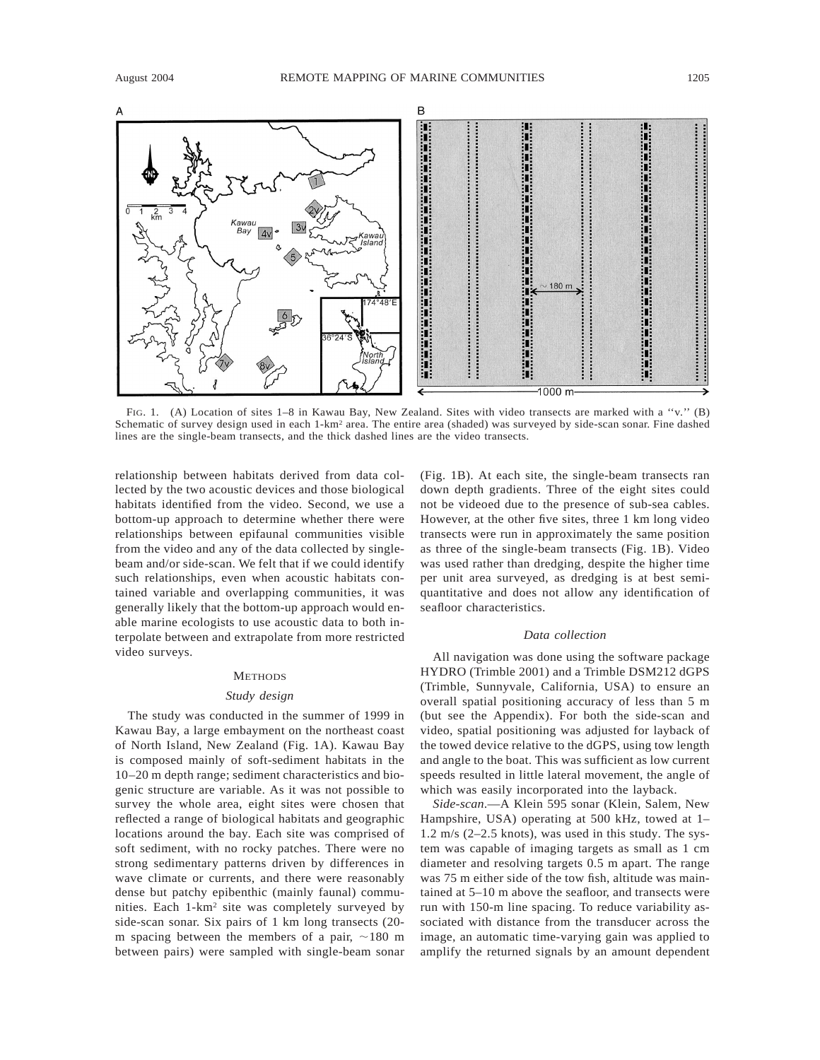

FIG. 1. (A) Location of sites 1–8 in Kawau Bay, New Zealand. Sites with video transects are marked with a "v." (B) Schematic of survey design used in each 1-km2 area. The entire area (shaded) was surveyed by side-scan sonar. Fine dashed lines are the single-beam transects, and the thick dashed lines are the video transects.

relationship between habitats derived from data collected by the two acoustic devices and those biological habitats identified from the video. Second, we use a bottom-up approach to determine whether there were relationships between epifaunal communities visible from the video and any of the data collected by singlebeam and/or side-scan. We felt that if we could identify such relationships, even when acoustic habitats contained variable and overlapping communities, it was generally likely that the bottom-up approach would enable marine ecologists to use acoustic data to both interpolate between and extrapolate from more restricted video surveys.

### **METHODS**

#### *Study design*

The study was conducted in the summer of 1999 in Kawau Bay, a large embayment on the northeast coast of North Island, New Zealand (Fig. 1A). Kawau Bay is composed mainly of soft-sediment habitats in the 10–20 m depth range; sediment characteristics and biogenic structure are variable. As it was not possible to survey the whole area, eight sites were chosen that reflected a range of biological habitats and geographic locations around the bay. Each site was comprised of soft sediment, with no rocky patches. There were no strong sedimentary patterns driven by differences in wave climate or currents, and there were reasonably dense but patchy epibenthic (mainly faunal) communities. Each 1-km2 site was completely surveyed by side-scan sonar. Six pairs of 1 km long transects (20 m spacing between the members of a pair,  $\sim$ 180 m between pairs) were sampled with single-beam sonar

(Fig. 1B). At each site, the single-beam transects ran down depth gradients. Three of the eight sites could not be videoed due to the presence of sub-sea cables. However, at the other five sites, three 1 km long video transects were run in approximately the same position as three of the single-beam transects (Fig. 1B). Video was used rather than dredging, despite the higher time per unit area surveyed, as dredging is at best semiquantitative and does not allow any identification of seafloor characteristics.

#### *Data collection*

All navigation was done using the software package HYDRO (Trimble 2001) and a Trimble DSM212 dGPS (Trimble, Sunnyvale, California, USA) to ensure an overall spatial positioning accuracy of less than 5 m (but see the Appendix). For both the side-scan and video, spatial positioning was adjusted for layback of the towed device relative to the dGPS, using tow length and angle to the boat. This was sufficient as low current speeds resulted in little lateral movement, the angle of which was easily incorporated into the layback.

*Side-scan*.—A Klein 595 sonar (Klein, Salem, New Hampshire, USA) operating at 500 kHz, towed at 1– 1.2 m/s (2–2.5 knots), was used in this study. The system was capable of imaging targets as small as 1 cm diameter and resolving targets 0.5 m apart. The range was 75 m either side of the tow fish, altitude was maintained at 5–10 m above the seafloor, and transects were run with 150-m line spacing. To reduce variability associated with distance from the transducer across the image, an automatic time-varying gain was applied to amplify the returned signals by an amount dependent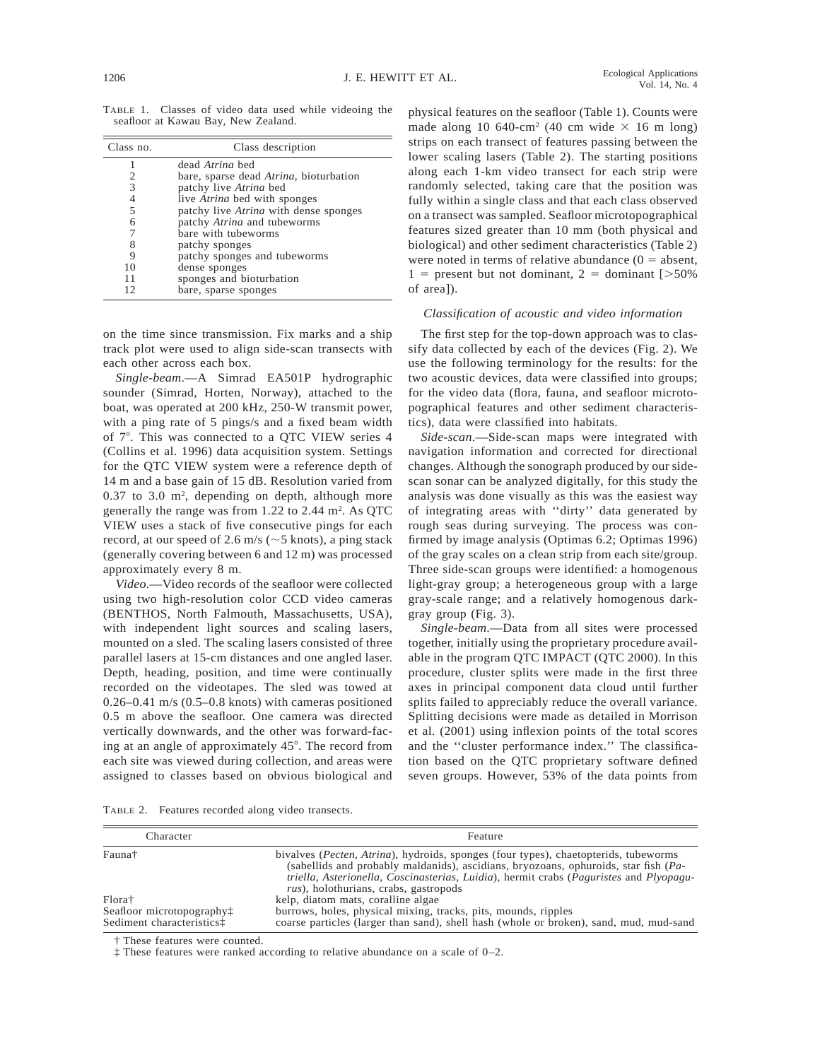TABLE 1. Classes of video data used while videoing the seafloor at Kawau Bay, New Zealand.

| Class no. | Class description                              |  |  |  |  |
|-----------|------------------------------------------------|--|--|--|--|
|           | dead Atrina bed                                |  |  |  |  |
|           | bare, sparse dead <i>Atrina</i> , bioturbation |  |  |  |  |
| 3         | patchy live Atrina bed                         |  |  |  |  |
|           | live Atrina bed with sponges                   |  |  |  |  |
| 5         | patchy live <i>Atrina</i> with dense sponges   |  |  |  |  |
|           | patchy Atrina and tubeworms                    |  |  |  |  |
|           | bare with tubeworms                            |  |  |  |  |
| 8         | patchy sponges                                 |  |  |  |  |
| 9         | patchy sponges and tubeworms                   |  |  |  |  |
| 10        | dense sponges                                  |  |  |  |  |
|           | sponges and bioturbation                       |  |  |  |  |
| 12        | bare, sparse sponges                           |  |  |  |  |

on the time since transmission. Fix marks and a ship track plot were used to align side-scan transects with each other across each box.

*Single-beam*.—A Simrad EA501P hydrographic sounder (Simrad, Horten, Norway), attached to the boat, was operated at 200 kHz, 250-W transmit power, with a ping rate of 5 pings/s and a fixed beam width of  $7^\circ$ . This was connected to a OTC VIEW series 4 (Collins et al. 1996) data acquisition system. Settings for the QTC VIEW system were a reference depth of 14 m and a base gain of 15 dB. Resolution varied from  $0.37$  to  $3.0$  m<sup>2</sup>, depending on depth, although more generally the range was from 1.22 to 2.44 m<sup>2</sup>. As QTC VIEW uses a stack of five consecutive pings for each record, at our speed of 2.6 m/s ( $\sim$ 5 knots), a ping stack (generally covering between 6 and 12 m) was processed approximately every 8 m.

*Video*.—Video records of the seafloor were collected using two high-resolution color CCD video cameras (BENTHOS, North Falmouth, Massachusetts, USA), with independent light sources and scaling lasers, mounted on a sled. The scaling lasers consisted of three parallel lasers at 15-cm distances and one angled laser. Depth, heading, position, and time were continually recorded on the videotapes. The sled was towed at 0.26–0.41 m/s (0.5–0.8 knots) with cameras positioned 0.5 m above the seafloor. One camera was directed vertically downwards, and the other was forward-facing at an angle of approximately  $45^\circ$ . The record from each site was viewed during collection, and areas were assigned to classes based on obvious biological and

physical features on the seafloor (Table 1). Counts were made along 10 640-cm<sup>2</sup> (40 cm wide  $\times$  16 m long) strips on each transect of features passing between the lower scaling lasers (Table 2). The starting positions along each 1-km video transect for each strip were randomly selected, taking care that the position was fully within a single class and that each class observed on a transect was sampled. Seafloor microtopographical features sized greater than 10 mm (both physical and biological) and other sediment characteristics (Table 2) were noted in terms of relative abundance  $(0 = absent,$  $1 =$  present but not dominant,  $2 =$  dominant  $\lceil$ >50% of area]).

# *Classification of acoustic and video information*

The first step for the top-down approach was to classify data collected by each of the devices (Fig. 2). We use the following terminology for the results: for the two acoustic devices, data were classified into groups; for the video data (flora, fauna, and seafloor microtopographical features and other sediment characteristics), data were classified into habitats.

*Side-scan*.—Side-scan maps were integrated with navigation information and corrected for directional changes. Although the sonograph produced by our sidescan sonar can be analyzed digitally, for this study the analysis was done visually as this was the easiest way of integrating areas with ''dirty'' data generated by rough seas during surveying. The process was confirmed by image analysis (Optimas 6.2; Optimas 1996) of the gray scales on a clean strip from each site/group. Three side-scan groups were identified: a homogenous light-gray group; a heterogeneous group with a large gray-scale range; and a relatively homogenous darkgray group (Fig. 3).

*Single-beam*.—Data from all sites were processed together, initially using the proprietary procedure available in the program QTC IMPACT (QTC 2000). In this procedure, cluster splits were made in the first three axes in principal component data cloud until further splits failed to appreciably reduce the overall variance. Splitting decisions were made as detailed in Morrison et al. (2001) using inflexion points of the total scores and the ''cluster performance index.'' The classification based on the QTC proprietary software defined seven groups. However, 53% of the data points from

TABLE 2. Features recorded along video transects.

| Character                                                          | Feature                                                                                                                                                                                                                                                                                                                |
|--------------------------------------------------------------------|------------------------------------------------------------------------------------------------------------------------------------------------------------------------------------------------------------------------------------------------------------------------------------------------------------------------|
| Fauna†                                                             | bivalves ( <i>Pecten, Atrina</i> ), hydroids, sponges (four types), chaetopterids, tubeworms<br>(sabellids and probably maldanids), ascidians, bryozoans, ophuroids, star fish (Pa-<br>triella, Asterionella, Coscinasterias, Luidia), hermit crabs (Paguristes and Plyopagu-<br>rus), holothurians, crabs, gastropods |
| Flora†                                                             | kelp, diatom mats, coralline algae                                                                                                                                                                                                                                                                                     |
| Seafloor microtopography:<br>Sediment characteristics <sup>†</sup> | burrows, holes, physical mixing, tracks, pits, mounds, ripples<br>coarse particles (larger than sand), shell hash (whole or broken), sand, mud, mud-sand                                                                                                                                                               |

† These features were counted.

‡ These features were ranked according to relative abundance on a scale of 0–2.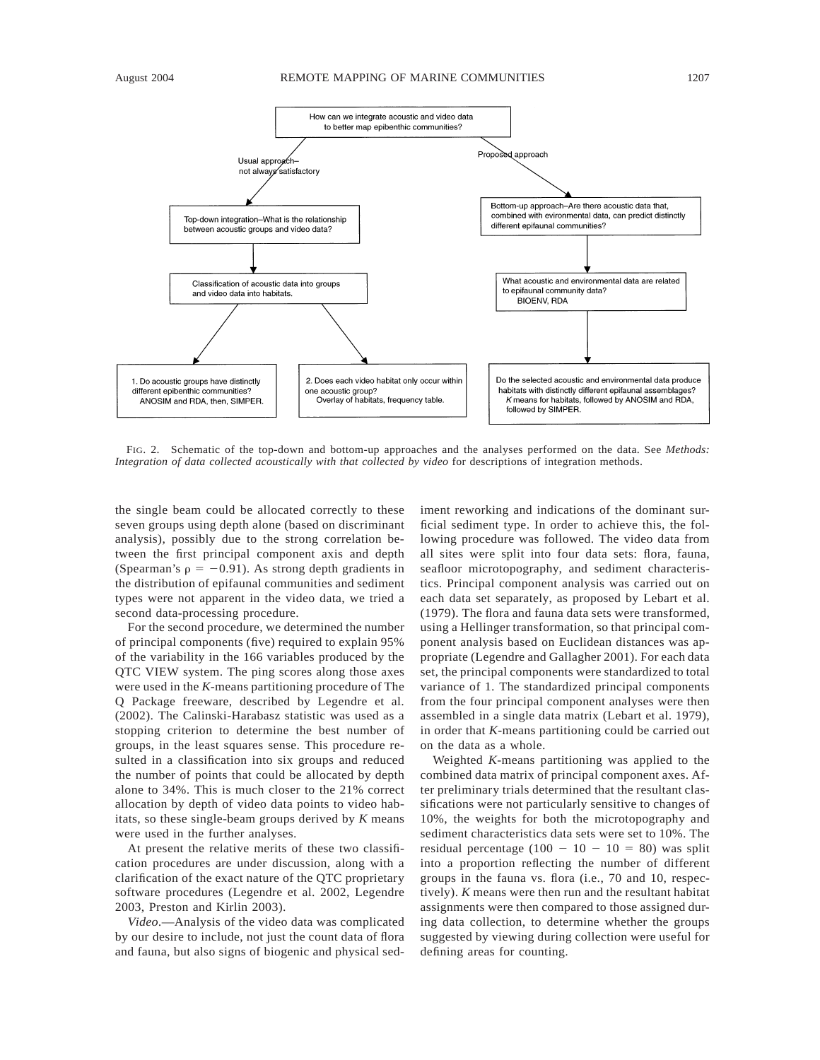

FIG. 2. Schematic of the top-down and bottom-up approaches and the analyses performed on the data. See *Methods: Integration of data collected acoustically with that collected by video* for descriptions of integration methods.

the single beam could be allocated correctly to these seven groups using depth alone (based on discriminant analysis), possibly due to the strong correlation between the first principal component axis and depth (Spearman's  $\rho = -0.91$ ). As strong depth gradients in the distribution of epifaunal communities and sediment types were not apparent in the video data, we tried a second data-processing procedure.

For the second procedure, we determined the number of principal components (five) required to explain 95% of the variability in the 166 variables produced by the QTC VIEW system. The ping scores along those axes were used in the *K*-means partitioning procedure of The Q Package freeware, described by Legendre et al. (2002). The Calinski-Harabasz statistic was used as a stopping criterion to determine the best number of groups, in the least squares sense. This procedure resulted in a classification into six groups and reduced the number of points that could be allocated by depth alone to 34%. This is much closer to the 21% correct allocation by depth of video data points to video habitats, so these single-beam groups derived by *K* means were used in the further analyses.

At present the relative merits of these two classification procedures are under discussion, along with a clarification of the exact nature of the QTC proprietary software procedures (Legendre et al. 2002, Legendre 2003, Preston and Kirlin 2003).

*Video*.—Analysis of the video data was complicated by our desire to include, not just the count data of flora and fauna, but also signs of biogenic and physical sed-

iment reworking and indications of the dominant surficial sediment type. In order to achieve this, the following procedure was followed. The video data from all sites were split into four data sets: flora, fauna, seafloor microtopography, and sediment characteristics. Principal component analysis was carried out on each data set separately, as proposed by Lebart et al. (1979). The flora and fauna data sets were transformed, using a Hellinger transformation, so that principal component analysis based on Euclidean distances was appropriate (Legendre and Gallagher 2001). For each data set, the principal components were standardized to total variance of 1. The standardized principal components from the four principal component analyses were then assembled in a single data matrix (Lebart et al. 1979), in order that *K*-means partitioning could be carried out on the data as a whole.

Weighted *K*-means partitioning was applied to the combined data matrix of principal component axes. After preliminary trials determined that the resultant classifications were not particularly sensitive to changes of 10%, the weights for both the microtopography and sediment characteristics data sets were set to 10%. The residual percentage  $(100 - 10 - 10 = 80)$  was split into a proportion reflecting the number of different groups in the fauna vs. flora (i.e., 70 and 10, respectively). *K* means were then run and the resultant habitat assignments were then compared to those assigned during data collection, to determine whether the groups suggested by viewing during collection were useful for defining areas for counting.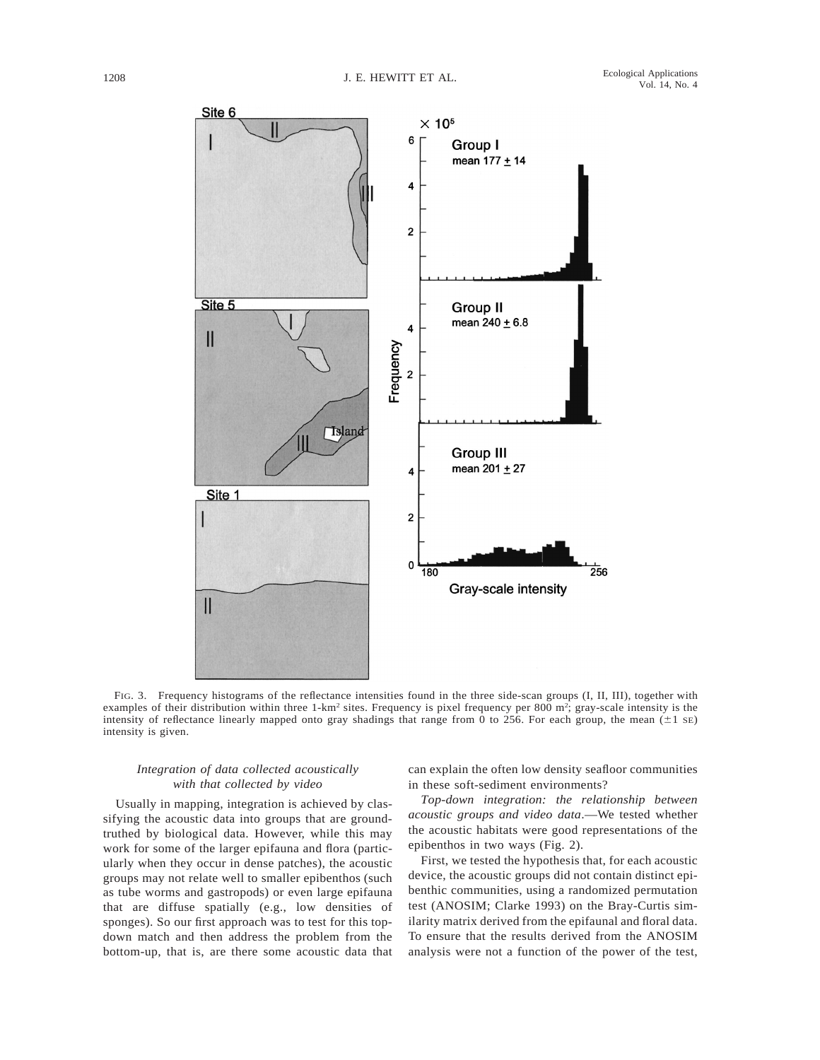

FIG. 3. Frequency histograms of the reflectance intensities found in the three side-scan groups (I, II, III), together with examples of their distribution within three  $1-km^2$  sites. Frequency is pixel frequency per 800  $m^2$ ; gray-scale intensity is the intensity of reflectance linearly mapped onto gray shadings that range from 0 to 256. For each group, the mean  $(\pm 1 \text{ s})$ intensity is given.

# *Integration of data collected acoustically with that collected by video*

Usually in mapping, integration is achieved by classifying the acoustic data into groups that are groundtruthed by biological data. However, while this may work for some of the larger epifauna and flora (particularly when they occur in dense patches), the acoustic groups may not relate well to smaller epibenthos (such as tube worms and gastropods) or even large epifauna that are diffuse spatially (e.g., low densities of sponges). So our first approach was to test for this topdown match and then address the problem from the bottom-up, that is, are there some acoustic data that can explain the often low density seafloor communities in these soft-sediment environments?

*Top-down integration: the relationship between acoustic groups and video data*.—We tested whether the acoustic habitats were good representations of the epibenthos in two ways (Fig. 2).

First, we tested the hypothesis that, for each acoustic device, the acoustic groups did not contain distinct epibenthic communities, using a randomized permutation test (ANOSIM; Clarke 1993) on the Bray-Curtis similarity matrix derived from the epifaunal and floral data. To ensure that the results derived from the ANOSIM analysis were not a function of the power of the test,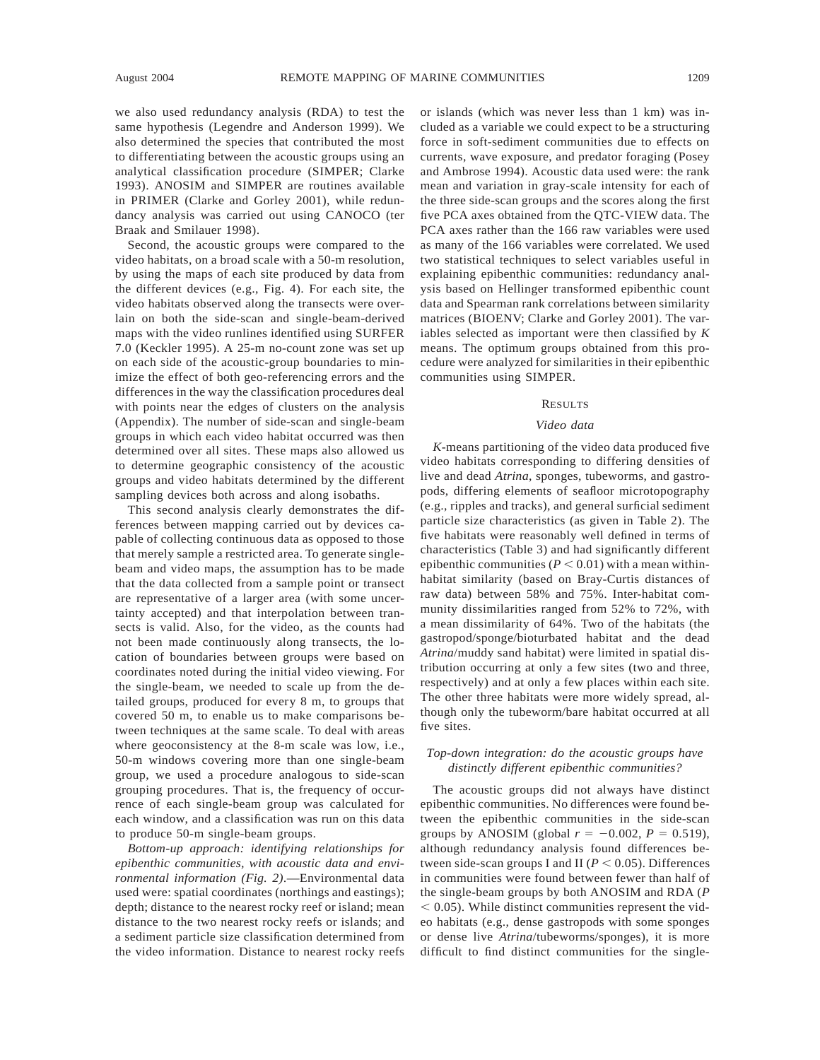we also used redundancy analysis (RDA) to test the same hypothesis (Legendre and Anderson 1999). We also determined the species that contributed the most to differentiating between the acoustic groups using an analytical classification procedure (SIMPER; Clarke 1993). ANOSIM and SIMPER are routines available in PRIMER (Clarke and Gorley 2001), while redundancy analysis was carried out using CANOCO (ter Braak and Smilauer 1998).

Second, the acoustic groups were compared to the video habitats, on a broad scale with a 50-m resolution, by using the maps of each site produced by data from the different devices (e.g., Fig. 4). For each site, the video habitats observed along the transects were overlain on both the side-scan and single-beam-derived maps with the video runlines identified using SURFER 7.0 (Keckler 1995). A 25-m no-count zone was set up on each side of the acoustic-group boundaries to minimize the effect of both geo-referencing errors and the differences in the way the classification procedures deal with points near the edges of clusters on the analysis (Appendix). The number of side-scan and single-beam groups in which each video habitat occurred was then determined over all sites. These maps also allowed us to determine geographic consistency of the acoustic groups and video habitats determined by the different sampling devices both across and along isobaths.

This second analysis clearly demonstrates the differences between mapping carried out by devices capable of collecting continuous data as opposed to those that merely sample a restricted area. To generate singlebeam and video maps, the assumption has to be made that the data collected from a sample point or transect are representative of a larger area (with some uncertainty accepted) and that interpolation between transects is valid. Also, for the video, as the counts had not been made continuously along transects, the location of boundaries between groups were based on coordinates noted during the initial video viewing. For the single-beam, we needed to scale up from the detailed groups, produced for every 8 m, to groups that covered 50 m, to enable us to make comparisons between techniques at the same scale. To deal with areas where geoconsistency at the 8-m scale was low, i.e., 50-m windows covering more than one single-beam group, we used a procedure analogous to side-scan grouping procedures. That is, the frequency of occurrence of each single-beam group was calculated for each window, and a classification was run on this data to produce 50-m single-beam groups.

*Bottom-up approach: identifying relationships for epibenthic communities, with acoustic data and environmental information (Fig. 2)*.—Environmental data used were: spatial coordinates (northings and eastings); depth; distance to the nearest rocky reef or island; mean distance to the two nearest rocky reefs or islands; and a sediment particle size classification determined from the video information. Distance to nearest rocky reefs or islands (which was never less than 1 km) was included as a variable we could expect to be a structuring force in soft-sediment communities due to effects on currents, wave exposure, and predator foraging (Posey and Ambrose 1994). Acoustic data used were: the rank mean and variation in gray-scale intensity for each of the three side-scan groups and the scores along the first five PCA axes obtained from the QTC-VIEW data. The PCA axes rather than the 166 raw variables were used as many of the 166 variables were correlated. We used two statistical techniques to select variables useful in explaining epibenthic communities: redundancy analysis based on Hellinger transformed epibenthic count data and Spearman rank correlations between similarity matrices (BIOENV; Clarke and Gorley 2001). The variables selected as important were then classified by *K* means. The optimum groups obtained from this procedure were analyzed for similarities in their epibenthic communities using SIMPER.

### RESULTS

### *Video data*

*K*-means partitioning of the video data produced five video habitats corresponding to differing densities of live and dead *Atrina*, sponges, tubeworms, and gastropods, differing elements of seafloor microtopography (e.g., ripples and tracks), and general surficial sediment particle size characteristics (as given in Table 2). The five habitats were reasonably well defined in terms of characteristics (Table 3) and had significantly different epibenthic communities  $(P < 0.01)$  with a mean withinhabitat similarity (based on Bray-Curtis distances of raw data) between 58% and 75%. Inter-habitat community dissimilarities ranged from 52% to 72%, with a mean dissimilarity of 64%. Two of the habitats (the gastropod/sponge/bioturbated habitat and the dead *Atrina*/muddy sand habitat) were limited in spatial distribution occurring at only a few sites (two and three, respectively) and at only a few places within each site. The other three habitats were more widely spread, although only the tubeworm/bare habitat occurred at all five sites.

# *Top-down integration: do the acoustic groups have distinctly different epibenthic communities?*

The acoustic groups did not always have distinct epibenthic communities. No differences were found between the epibenthic communities in the side-scan groups by ANOSIM (global  $r = -0.002$ ,  $P = 0.519$ ), although redundancy analysis found differences between side-scan groups I and II ( $P < 0.05$ ). Differences in communities were found between fewer than half of the single-beam groups by both ANOSIM and RDA (*P*  $< 0.05$ ). While distinct communities represent the video habitats (e.g., dense gastropods with some sponges or dense live *Atrina*/tubeworms/sponges), it is more difficult to find distinct communities for the single-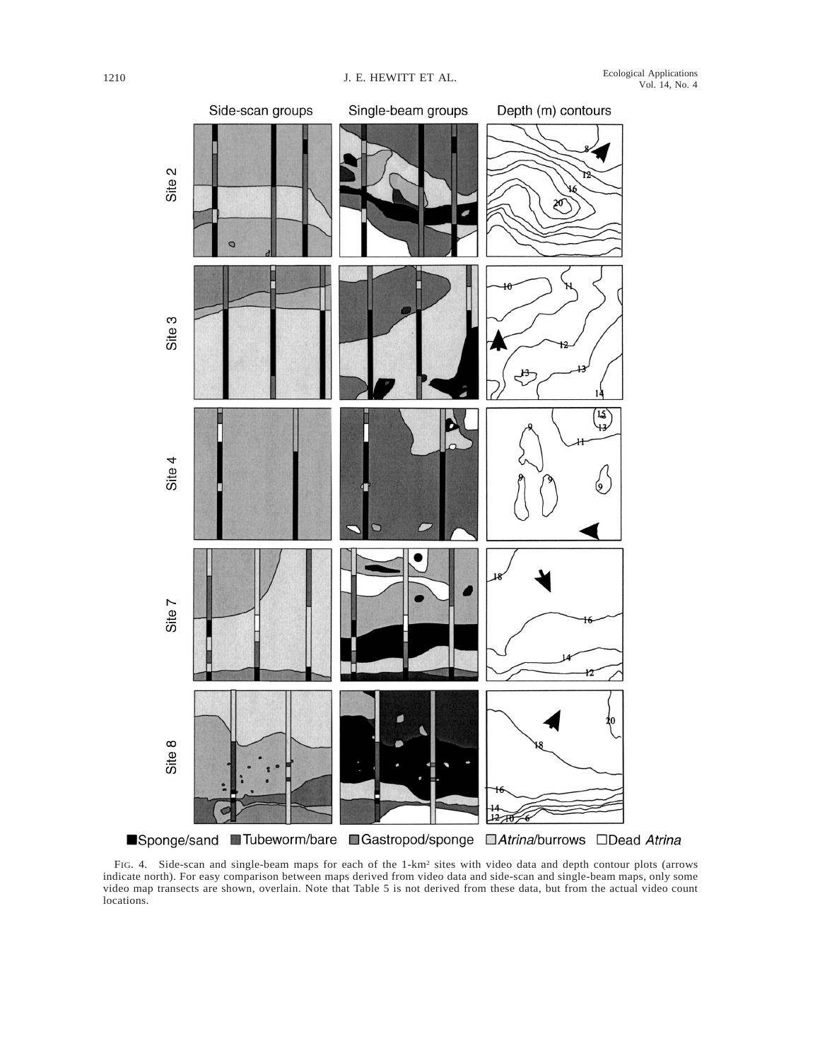

FIG. 4. Side-scan and single-beam maps for each of the 1-km2 sites with video data and depth contour plots (arrows indicate north). For easy comparison between maps derived from video data and side-scan and single-beam maps, only some video map transects are shown, overlain. Note that Table 5 is not derived from these data, but from the actual video count locations.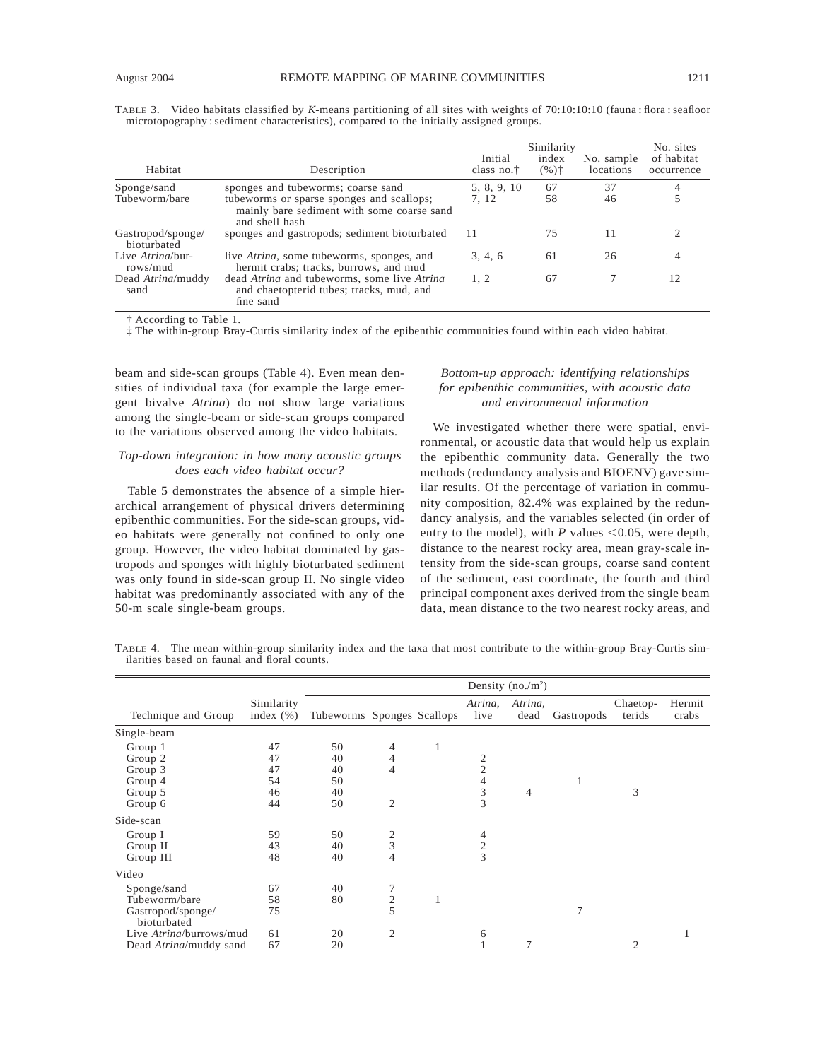| Habitat                              | Description                                                                                               | Initial<br>class no. $\dagger$ | Similarity<br>index<br>$(% )$ <sup><math>\ddagger</math></sup> | No. sample<br>locations | No. sites<br>of habitat<br>occurrence |
|--------------------------------------|-----------------------------------------------------------------------------------------------------------|--------------------------------|----------------------------------------------------------------|-------------------------|---------------------------------------|
| Sponge/sand                          | sponges and tubeworms; coarse sand                                                                        | 5, 8, 9, 10                    | 67                                                             | 37                      |                                       |
| Tubeworm/bare                        | tubeworms or sparse sponges and scallops;<br>mainly bare sediment with some coarse sand<br>and shell hash | 7.12                           | 58                                                             | 46                      |                                       |
| Gastropod/sponge/<br>bioturbated     | sponges and gastropods; sediment bioturbated                                                              | 11                             | 75                                                             | 11                      |                                       |
| Live <i>Atrina</i> /bur-<br>rows/mud | live <i>Atrina</i> , some tubeworms, sponges, and<br>hermit crabs; tracks, burrows, and mud               | 3, 4, 6                        | 61                                                             | 26                      |                                       |
| Dead Atrina/muddy<br>sand            | dead Atrina and tubeworms, some live Atrina<br>and chaetopterid tubes; tracks, mud, and<br>fine sand      | 1, 2                           | 67                                                             |                         | 12                                    |

TABLE 3. Video habitats classified by *K*-means partitioning of all sites with weights of 70:10:10:10 (fauna: flora: seafloor microtopography : sediment characteristics), compared to the initially assigned groups.

† According to Table 1.

‡ The within-group Bray-Curtis similarity index of the epibenthic communities found within each video habitat.

beam and side-scan groups (Table 4). Even mean densities of individual taxa (for example the large emergent bivalve *Atrina*) do not show large variations among the single-beam or side-scan groups compared to the variations observed among the video habitats.

# *Top-down integration: in how many acoustic groups does each video habitat occur?*

Table 5 demonstrates the absence of a simple hierarchical arrangement of physical drivers determining epibenthic communities. For the side-scan groups, video habitats were generally not confined to only one group. However, the video habitat dominated by gastropods and sponges with highly bioturbated sediment was only found in side-scan group II. No single video habitat was predominantly associated with any of the 50-m scale single-beam groups.

# *Bottom-up approach: identifying relationships for epibenthic communities, with acoustic data and environmental information*

We investigated whether there were spatial, environmental, or acoustic data that would help us explain the epibenthic community data. Generally the two methods (redundancy analysis and BIOENV) gave similar results. Of the percentage of variation in community composition, 82.4% was explained by the redundancy analysis, and the variables selected (in order of entry to the model), with  $P$  values  $\leq 0.05$ , were depth, distance to the nearest rocky area, mean gray-scale intensity from the side-scan groups, coarse sand content of the sediment, east coordinate, the fourth and third principal component axes derived from the single beam data, mean distance to the two nearest rocky areas, and

TABLE 4. The mean within-group similarity index and the taxa that most contribute to the within-group Bray-Curtis similarities based on faunal and floral counts.

|                                                                                        |                                        | Density (no./m <sup>2</sup> )          |                                    |   |                                                       |                 |            |                    |                 |
|----------------------------------------------------------------------------------------|----------------------------------------|----------------------------------------|------------------------------------|---|-------------------------------------------------------|-----------------|------------|--------------------|-----------------|
| Technique and Group                                                                    | Similarity<br>index $(\% )$            | Tubeworms Sponges Scallops             |                                    |   | Atrina,<br>live                                       | Atrina,<br>dead | Gastropods | Chaetop-<br>terids | Hermit<br>crabs |
| Single-beam                                                                            |                                        |                                        |                                    |   |                                                       |                 |            |                    |                 |
| Group 1<br>Group 2<br>Group 3<br>Group 4<br>Group 5<br>Group 6<br>Side-scan<br>Group I | 47<br>47<br>47<br>54<br>46<br>44<br>59 | 50<br>40<br>40<br>50<br>40<br>50<br>50 | 4<br>4<br>4<br>$\overline{2}$<br>2 | 1 | $\frac{2}{2}$<br>$\overline{4}$<br>$\frac{3}{3}$<br>4 | 4               | 1          | 3                  |                 |
| Group II<br>Group III                                                                  | 43<br>48                               | 40<br>40                               | 3<br>4                             |   | $\overline{c}$<br>$\overline{3}$                      |                 |            |                    |                 |
| Video                                                                                  |                                        |                                        |                                    |   |                                                       |                 |            |                    |                 |
| Sponge/sand<br>Tubeworm/bare<br>Gastropod/sponge/<br>bioturbated                       | 67<br>58<br>75                         | 40<br>80                               | 7<br>2<br>5                        | 1 |                                                       |                 | 7          |                    |                 |
| Live Atrina/burrows/mud<br>Dead Atrina/muddy sand                                      | 61<br>67                               | 20<br>20                               | $\overline{c}$                     |   | 6<br>$\mathbf{1}$                                     | $\overline{7}$  |            | $\overline{c}$     |                 |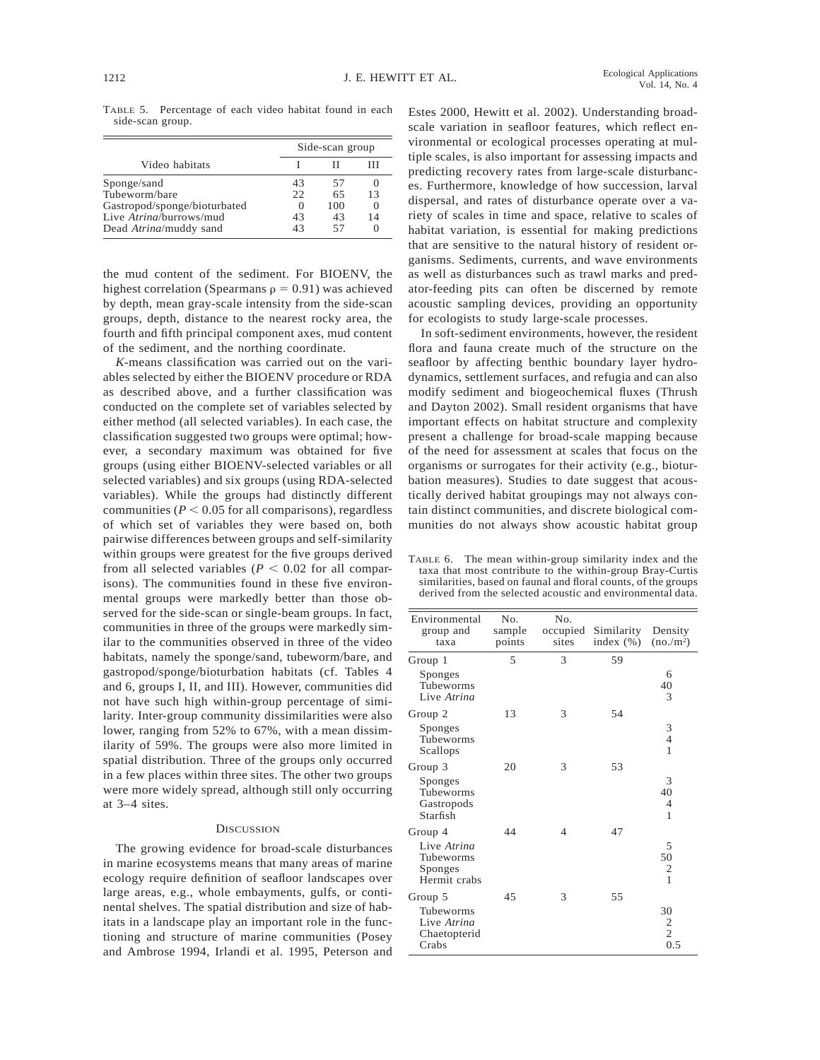TABLE 5. Percentage of each video habitat found in each side-scan group.

|                              |     | Side-scan group |                  |  |  |
|------------------------------|-----|-----------------|------------------|--|--|
| Video habitats               |     |                 |                  |  |  |
| Sponge/sand                  | 43  | 57              | O                |  |  |
| Tubeworm/bare                | 22. | 65              | 13               |  |  |
| Gastropod/sponge/bioturbated |     | 100             | $\Omega$         |  |  |
| Live Atrina/burrows/mud      | 43  | 43              | 14               |  |  |
| Dead Atrina/muddy sand       | 43  | 57              | $\left( \right)$ |  |  |

the mud content of the sediment. For BIOENV, the highest correlation (Spearmans  $\rho = 0.91$ ) was achieved by depth, mean gray-scale intensity from the side-scan groups, depth, distance to the nearest rocky area, the fourth and fifth principal component axes, mud content of the sediment, and the northing coordinate.

*K*-means classification was carried out on the variables selected by either the BIOENV procedure or RDA as described above, and a further classification was conducted on the complete set of variables selected by either method (all selected variables). In each case, the classification suggested two groups were optimal; however, a secondary maximum was obtained for five groups (using either BIOENV-selected variables or all selected variables) and six groups (using RDA-selected variables). While the groups had distinctly different communities ( $P < 0.05$  for all comparisons), regardless of which set of variables they were based on, both pairwise differences between groups and self-similarity within groups were greatest for the five groups derived from all selected variables ( $P < 0.02$  for all comparisons). The communities found in these five environmental groups were markedly better than those observed for the side-scan or single-beam groups. In fact, communities in three of the groups were markedly similar to the communities observed in three of the video habitats, namely the sponge/sand, tubeworm/bare, and gastropod/sponge/bioturbation habitats (cf. Tables 4 and 6, groups I, II, and III). However, communities did not have such high within-group percentage of similarity. Inter-group community dissimilarities were also lower, ranging from 52% to 67%, with a mean dissimilarity of 59%. The groups were also more limited in spatial distribution. Three of the groups only occurred in a few places within three sites. The other two groups were more widely spread, although still only occurring at 3–4 sites.

#### **DISCUSSION**

The growing evidence for broad-scale disturbances in marine ecosystems means that many areas of marine ecology require definition of seafloor landscapes over large areas, e.g., whole embayments, gulfs, or continental shelves. The spatial distribution and size of habitats in a landscape play an important role in the functioning and structure of marine communities (Posey and Ambrose 1994, Irlandi et al. 1995, Peterson and Estes 2000, Hewitt et al. 2002). Understanding broadscale variation in seafloor features, which reflect environmental or ecological processes operating at multiple scales, is also important for assessing impacts and predicting recovery rates from large-scale disturbances. Furthermore, knowledge of how succession, larval dispersal, and rates of disturbance operate over a variety of scales in time and space, relative to scales of habitat variation, is essential for making predictions that are sensitive to the natural history of resident organisms. Sediments, currents, and wave environments as well as disturbances such as trawl marks and predator-feeding pits can often be discerned by remote acoustic sampling devices, providing an opportunity for ecologists to study large-scale processes.

In soft-sediment environments, however, the resident flora and fauna create much of the structure on the seafloor by affecting benthic boundary layer hydrodynamics, settlement surfaces, and refugia and can also modify sediment and biogeochemical fluxes (Thrush and Dayton 2002). Small resident organisms that have important effects on habitat structure and complexity present a challenge for broad-scale mapping because of the need for assessment at scales that focus on the organisms or surrogates for their activity (e.g., bioturbation measures). Studies to date suggest that acoustically derived habitat groupings may not always contain distinct communities, and discrete biological communities do not always show acoustic habitat group

TABLE 6. The mean within-group similarity index and the taxa that most contribute to the within-group Bray-Curtis similarities, based on faunal and floral counts, of the groups derived from the selected acoustic and environmental data.

| Environmental<br>group and<br>taxa                             | No.<br>sample<br>points | No.<br>occupied<br>sites | Similarity<br>index $(\% )$ | Density<br>$(no./m^2)$                        |
|----------------------------------------------------------------|-------------------------|--------------------------|-----------------------------|-----------------------------------------------|
| Group 1<br>Sponges<br>Tubeworms<br>Live Atrina                 | 5                       | 3                        | 59                          | 6<br>40<br>3                                  |
| Group 2<br>Sponges<br>Tubeworms<br>Scallops                    | 13                      | 3                        | 54                          | 3<br>$\overline{\mathcal{L}}$<br>$\mathbf{1}$ |
| Group 3<br>Sponges<br>Tubeworms<br>Gastropods<br>Starfish      | 20                      | 3                        | 53                          | 3<br>40<br>$\overline{4}$<br>1                |
| Group 4<br>Live Atrina<br>Tubeworms<br>Sponges<br>Hermit crabs | 44                      | $\overline{4}$           | 47                          | 5<br>50<br>$\frac{2}{1}$                      |
| Group 5<br>Tubeworms<br>Live Atrina<br>Chaetopterid<br>Crabs   | 45                      | 3                        | 55                          | 30<br>$\frac{2}{2}$<br>0.5                    |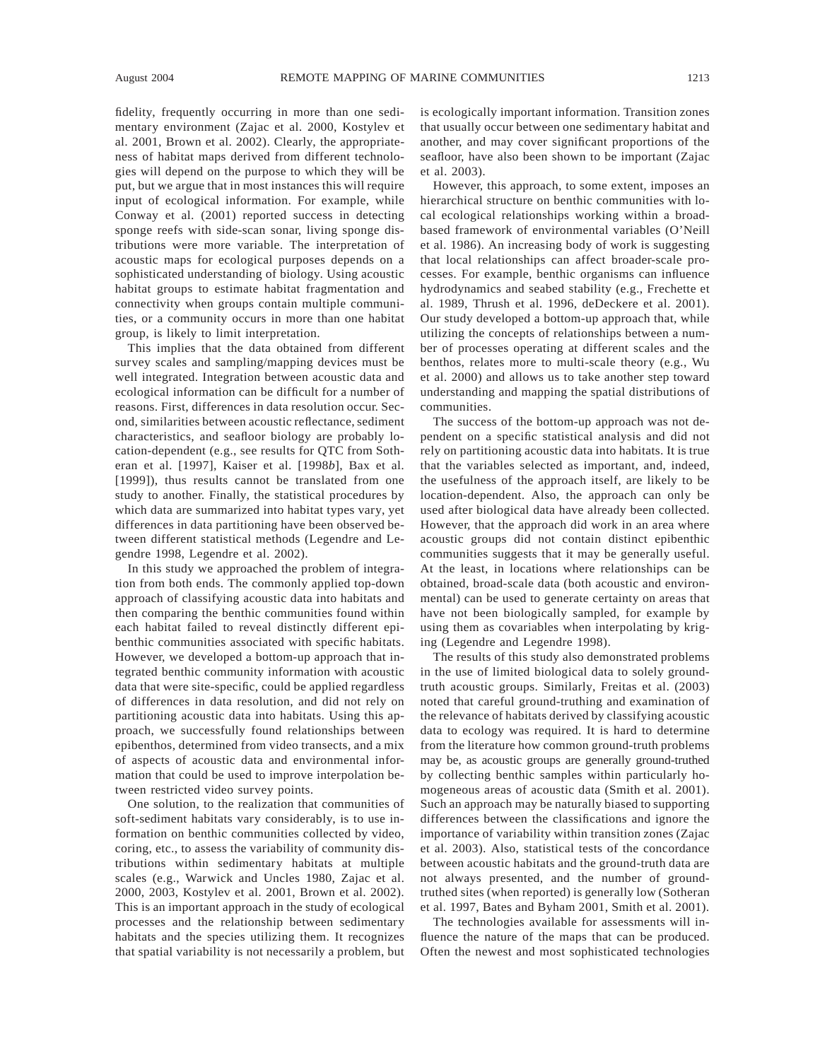et al. 2003).

mentary environment (Zajac et al. 2000, Kostylev et al. 2001, Brown et al. 2002). Clearly, the appropriateness of habitat maps derived from different technologies will depend on the purpose to which they will be put, but we argue that in most instances this will require input of ecological information. For example, while Conway et al. (2001) reported success in detecting sponge reefs with side-scan sonar, living sponge distributions were more variable. The interpretation of acoustic maps for ecological purposes depends on a sophisticated understanding of biology. Using acoustic habitat groups to estimate habitat fragmentation and connectivity when groups contain multiple communities, or a community occurs in more than one habitat group, is likely to limit interpretation.

fidelity, frequently occurring in more than one sedi-

This implies that the data obtained from different survey scales and sampling/mapping devices must be well integrated. Integration between acoustic data and ecological information can be difficult for a number of reasons. First, differences in data resolution occur. Second, similarities between acoustic reflectance, sediment characteristics, and seafloor biology are probably location-dependent (e.g., see results for QTC from Sotheran et al. [1997], Kaiser et al. [1998*b*], Bax et al. [1999]), thus results cannot be translated from one study to another. Finally, the statistical procedures by which data are summarized into habitat types vary, yet differences in data partitioning have been observed between different statistical methods (Legendre and Legendre 1998, Legendre et al. 2002).

In this study we approached the problem of integration from both ends. The commonly applied top-down approach of classifying acoustic data into habitats and then comparing the benthic communities found within each habitat failed to reveal distinctly different epibenthic communities associated with specific habitats. However, we developed a bottom-up approach that integrated benthic community information with acoustic data that were site-specific, could be applied regardless of differences in data resolution, and did not rely on partitioning acoustic data into habitats. Using this approach, we successfully found relationships between epibenthos, determined from video transects, and a mix of aspects of acoustic data and environmental information that could be used to improve interpolation between restricted video survey points.

One solution, to the realization that communities of soft-sediment habitats vary considerably, is to use information on benthic communities collected by video, coring, etc., to assess the variability of community distributions within sedimentary habitats at multiple scales (e.g., Warwick and Uncles 1980, Zajac et al. 2000, 2003, Kostylev et al. 2001, Brown et al. 2002). This is an important approach in the study of ecological processes and the relationship between sedimentary habitats and the species utilizing them. It recognizes that spatial variability is not necessarily a problem, but

However, this approach, to some extent, imposes an hierarchical structure on benthic communities with local ecological relationships working within a broadbased framework of environmental variables (O'Neill et al. 1986). An increasing body of work is suggesting that local relationships can affect broader-scale processes. For example, benthic organisms can influence hydrodynamics and seabed stability (e.g., Frechette et al. 1989, Thrush et al. 1996, deDeckere et al. 2001). Our study developed a bottom-up approach that, while utilizing the concepts of relationships between a number of processes operating at different scales and the benthos, relates more to multi-scale theory (e.g., Wu et al. 2000) and allows us to take another step toward understanding and mapping the spatial distributions of communities.

seafloor, have also been shown to be important (Zajac

The success of the bottom-up approach was not dependent on a specific statistical analysis and did not rely on partitioning acoustic data into habitats. It is true that the variables selected as important, and, indeed, the usefulness of the approach itself, are likely to be location-dependent. Also, the approach can only be used after biological data have already been collected. However, that the approach did work in an area where acoustic groups did not contain distinct epibenthic communities suggests that it may be generally useful. At the least, in locations where relationships can be obtained, broad-scale data (both acoustic and environmental) can be used to generate certainty on areas that have not been biologically sampled, for example by using them as covariables when interpolating by kriging (Legendre and Legendre 1998).

The results of this study also demonstrated problems in the use of limited biological data to solely groundtruth acoustic groups. Similarly, Freitas et al. (2003) noted that careful ground-truthing and examination of the relevance of habitats derived by classifying acoustic data to ecology was required. It is hard to determine from the literature how common ground-truth problems may be, as acoustic groups are generally ground-truthed by collecting benthic samples within particularly homogeneous areas of acoustic data (Smith et al. 2001). Such an approach may be naturally biased to supporting differences between the classifications and ignore the importance of variability within transition zones (Zajac et al. 2003). Also, statistical tests of the concordance between acoustic habitats and the ground-truth data are not always presented, and the number of groundtruthed sites (when reported) is generally low (Sotheran et al. 1997, Bates and Byham 2001, Smith et al. 2001).

The technologies available for assessments will influence the nature of the maps that can be produced. Often the newest and most sophisticated technologies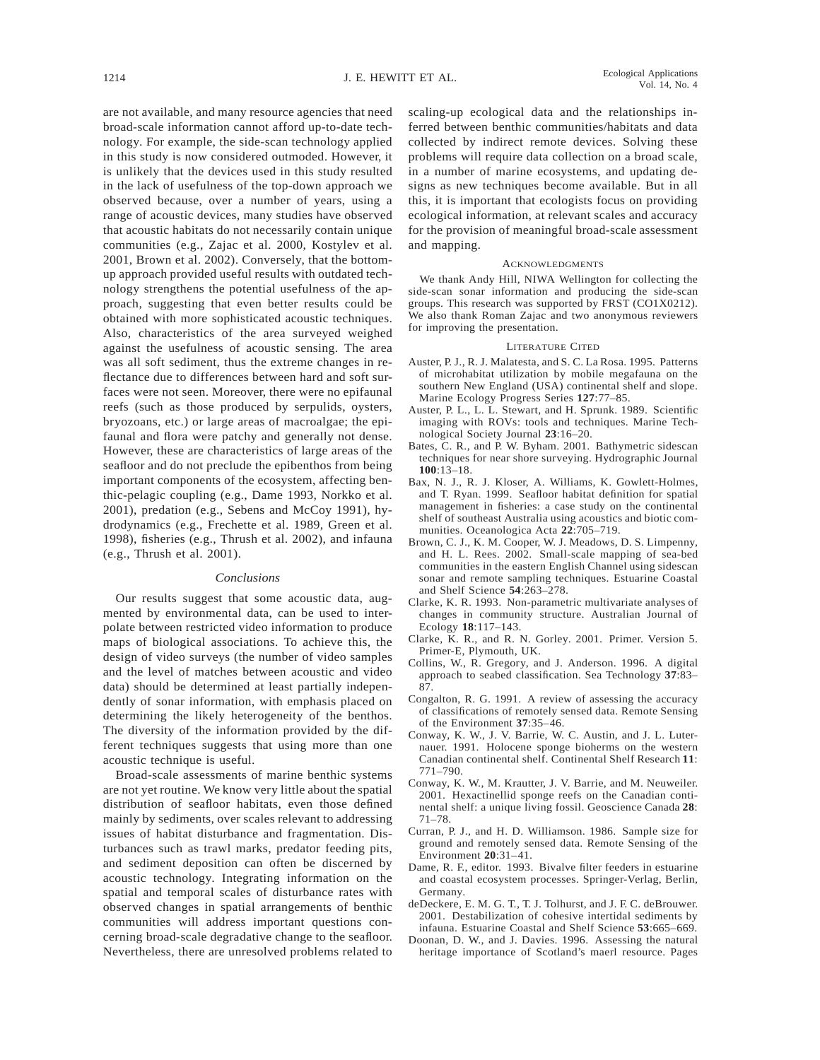are not available, and many resource agencies that need broad-scale information cannot afford up-to-date technology. For example, the side-scan technology applied in this study is now considered outmoded. However, it is unlikely that the devices used in this study resulted in the lack of usefulness of the top-down approach we observed because, over a number of years, using a range of acoustic devices, many studies have observed that acoustic habitats do not necessarily contain unique communities (e.g., Zajac et al. 2000, Kostylev et al. 2001, Brown et al. 2002). Conversely, that the bottomup approach provided useful results with outdated technology strengthens the potential usefulness of the approach, suggesting that even better results could be obtained with more sophisticated acoustic techniques. Also, characteristics of the area surveyed weighed against the usefulness of acoustic sensing. The area was all soft sediment, thus the extreme changes in reflectance due to differences between hard and soft surfaces were not seen. Moreover, there were no epifaunal reefs (such as those produced by serpulids, oysters, bryozoans, etc.) or large areas of macroalgae; the epifaunal and flora were patchy and generally not dense. However, these are characteristics of large areas of the seafloor and do not preclude the epibenthos from being important components of the ecosystem, affecting benthic-pelagic coupling (e.g., Dame 1993, Norkko et al. 2001), predation (e.g., Sebens and McCoy 1991), hydrodynamics (e.g., Frechette et al. 1989, Green et al. 1998), fisheries (e.g., Thrush et al. 2002), and infauna (e.g., Thrush et al. 2001).

#### *Conclusions*

Our results suggest that some acoustic data, augmented by environmental data, can be used to interpolate between restricted video information to produce maps of biological associations. To achieve this, the design of video surveys (the number of video samples and the level of matches between acoustic and video data) should be determined at least partially independently of sonar information, with emphasis placed on determining the likely heterogeneity of the benthos. The diversity of the information provided by the different techniques suggests that using more than one acoustic technique is useful.

Broad-scale assessments of marine benthic systems are not yet routine. We know very little about the spatial distribution of seafloor habitats, even those defined mainly by sediments, over scales relevant to addressing issues of habitat disturbance and fragmentation. Disturbances such as trawl marks, predator feeding pits, and sediment deposition can often be discerned by acoustic technology. Integrating information on the spatial and temporal scales of disturbance rates with observed changes in spatial arrangements of benthic communities will address important questions concerning broad-scale degradative change to the seafloor. Nevertheless, there are unresolved problems related to scaling-up ecological data and the relationships inferred between benthic communities/habitats and data collected by indirect remote devices. Solving these problems will require data collection on a broad scale, in a number of marine ecosystems, and updating designs as new techniques become available. But in all this, it is important that ecologists focus on providing ecological information, at relevant scales and accuracy for the provision of meaningful broad-scale assessment and mapping.

#### ACKNOWLEDGMENTS

We thank Andy Hill, NIWA Wellington for collecting the side-scan sonar information and producing the side-scan groups. This research was supported by FRST (CO1X0212). We also thank Roman Zajac and two anonymous reviewers for improving the presentation.

#### LITERATURE CITED

- Auster, P. J., R. J. Malatesta, and S. C. La Rosa. 1995. Patterns of microhabitat utilization by mobile megafauna on the southern New England (USA) continental shelf and slope. Marine Ecology Progress Series **127**:77–85.
- Auster, P. L., L. L. Stewart, and H. Sprunk. 1989. Scientific imaging with ROVs: tools and techniques. Marine Technological Society Journal **23**:16–20.
- Bates, C. R., and P. W. Byham. 2001. Bathymetric sidescan techniques for near shore surveying. Hydrographic Journal **100**:13–18.
- Bax, N. J., R. J. Kloser, A. Williams, K. Gowlett-Holmes, and T. Ryan. 1999. Seafloor habitat definition for spatial management in fisheries: a case study on the continental shelf of southeast Australia using acoustics and biotic communities. Oceanologica Acta **22**:705–719.
- Brown, C. J., K. M. Cooper, W. J. Meadows, D. S. Limpenny, and H. L. Rees. 2002. Small-scale mapping of sea-bed communities in the eastern English Channel using sidescan sonar and remote sampling techniques. Estuarine Coastal and Shelf Science **54**:263–278.
- Clarke, K. R. 1993. Non-parametric multivariate analyses of changes in community structure. Australian Journal of Ecology **18**:117–143.
- Clarke, K. R., and R. N. Gorley. 2001. Primer. Version 5. Primer-E, Plymouth, UK.
- Collins, W., R. Gregory, and J. Anderson. 1996. A digital approach to seabed classification. Sea Technology **37**:83– 87.
- Congalton, R. G. 1991. A review of assessing the accuracy of classifications of remotely sensed data. Remote Sensing of the Environment **37**:35–46.
- Conway, K. W., J. V. Barrie, W. C. Austin, and J. L. Luternauer. 1991. Holocene sponge bioherms on the western Canadian continental shelf. Continental Shelf Research **11**: 771–790.
- Conway, K. W., M. Krautter, J. V. Barrie, and M. Neuweiler. 2001. Hexactinellid sponge reefs on the Canadian continental shelf: a unique living fossil. Geoscience Canada **28**: 71–78.
- Curran, P. J., and H. D. Williamson. 1986. Sample size for ground and remotely sensed data. Remote Sensing of the Environment **20**:31–41.
- Dame, R. F., editor. 1993. Bivalve filter feeders in estuarine and coastal ecosystem processes. Springer-Verlag, Berlin, Germany.
- deDeckere, E. M. G. T., T. J. Tolhurst, and J. F. C. deBrouwer. 2001. Destabilization of cohesive intertidal sediments by infauna. Estuarine Coastal and Shelf Science **53**:665–669.
- Doonan, D. W., and J. Davies. 1996. Assessing the natural heritage importance of Scotland's maerl resource. Pages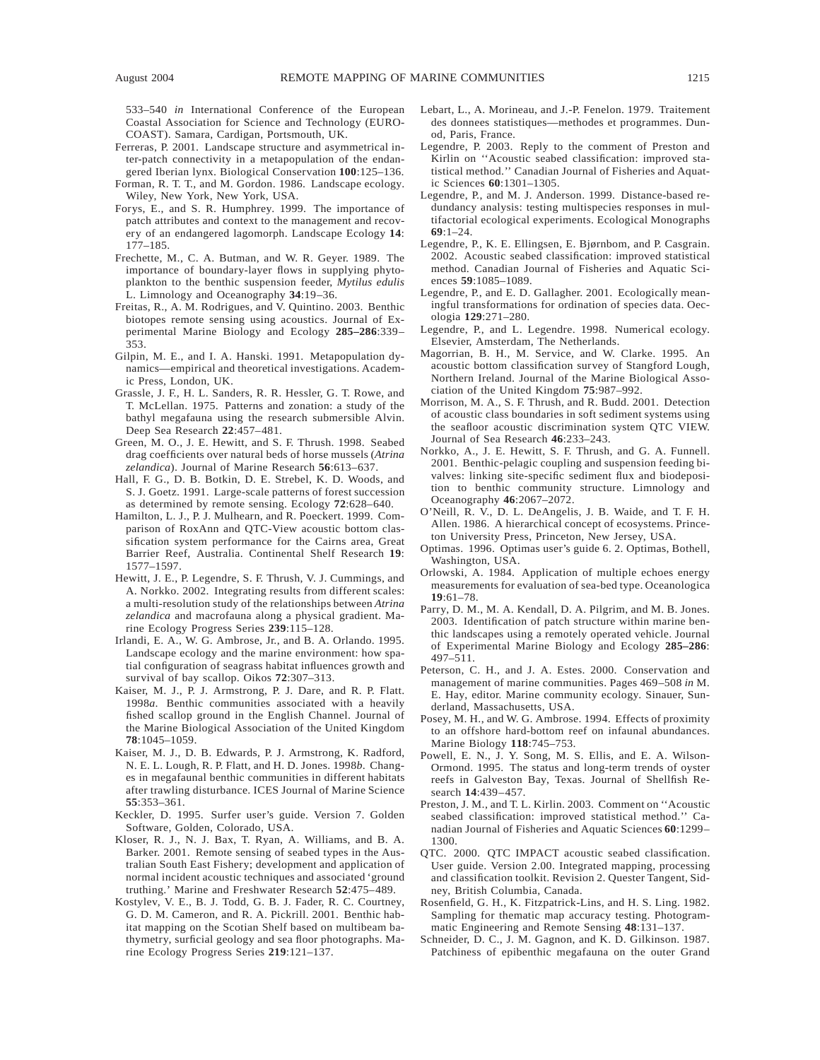533–540 *in* International Conference of the European Coastal Association for Science and Technology (EURO-COAST). Samara, Cardigan, Portsmouth, UK.

- Ferreras, P. 2001. Landscape structure and asymmetrical inter-patch connectivity in a metapopulation of the endangered Iberian lynx. Biological Conservation **100**:125–136.
- Forman, R. T. T., and M. Gordon. 1986. Landscape ecology. Wiley, New York, New York, USA.
- Forys, E., and S. R. Humphrey. 1999. The importance of patch attributes and context to the management and recovery of an endangered lagomorph. Landscape Ecology **14**: 177–185.
- Frechette, M., C. A. Butman, and W. R. Geyer. 1989. The importance of boundary-layer flows in supplying phytoplankton to the benthic suspension feeder, *Mytilus edulis* L. Limnology and Oceanography **34**:19–36.
- Freitas, R., A. M. Rodrigues, and V. Quintino. 2003. Benthic biotopes remote sensing using acoustics. Journal of Experimental Marine Biology and Ecology **285–286**:339– 353.
- Gilpin, M. E., and I. A. Hanski. 1991. Metapopulation dynamics—empirical and theoretical investigations. Academic Press, London, UK.
- Grassle, J. F., H. L. Sanders, R. R. Hessler, G. T. Rowe, and T. McLellan. 1975. Patterns and zonation: a study of the bathyl megafauna using the research submersible Alvin. Deep Sea Research **22**:457–481.
- Green, M. O., J. E. Hewitt, and S. F. Thrush. 1998. Seabed drag coefficients over natural beds of horse mussels (*Atrina zelandica*). Journal of Marine Research **56**:613–637.
- Hall, F. G., D. B. Botkin, D. E. Strebel, K. D. Woods, and S. J. Goetz. 1991. Large-scale patterns of forest succession as determined by remote sensing. Ecology **72**:628–640.
- Hamilton, L. J., P. J. Mulhearn, and R. Poeckert. 1999. Comparison of RoxAnn and QTC-View acoustic bottom classification system performance for the Cairns area, Great Barrier Reef, Australia. Continental Shelf Research **19**: 1577–1597.
- Hewitt, J. E., P. Legendre, S. F. Thrush, V. J. Cummings, and A. Norkko. 2002. Integrating results from different scales: a multi-resolution study of the relationships between *Atrina zelandica* and macrofauna along a physical gradient. Marine Ecology Progress Series **239**:115–128.
- Irlandi, E. A., W. G. Ambrose, Jr., and B. A. Orlando. 1995. Landscape ecology and the marine environment: how spatial configuration of seagrass habitat influences growth and survival of bay scallop. Oikos **72**:307–313.
- Kaiser, M. J., P. J. Armstrong, P. J. Dare, and R. P. Flatt. 1998*a*. Benthic communities associated with a heavily fished scallop ground in the English Channel. Journal of the Marine Biological Association of the United Kingdom **78**:1045–1059.
- Kaiser, M. J., D. B. Edwards, P. J. Armstrong, K. Radford, N. E. L. Lough, R. P. Flatt, and H. D. Jones. 1998*b*. Changes in megafaunal benthic communities in different habitats after trawling disturbance. ICES Journal of Marine Science **55**:353–361.
- Keckler, D. 1995. Surfer user's guide. Version 7. Golden Software, Golden, Colorado, USA.
- Kloser, R. J., N. J. Bax, T. Ryan, A. Williams, and B. A. Barker. 2001. Remote sensing of seabed types in the Australian South East Fishery; development and application of normal incident acoustic techniques and associated 'ground truthing.' Marine and Freshwater Research **52**:475–489.
- Kostylev, V. E., B. J. Todd, G. B. J. Fader, R. C. Courtney, G. D. M. Cameron, and R. A. Pickrill. 2001. Benthic habitat mapping on the Scotian Shelf based on multibeam bathymetry, surficial geology and sea floor photographs. Marine Ecology Progress Series **219**:121–137.
- Lebart, L., A. Morineau, and J.-P. Fenelon. 1979. Traitement des donnees statistiques—methodes et programmes. Dunod, Paris, France.
- Legendre, P. 2003. Reply to the comment of Preston and Kirlin on ''Acoustic seabed classification: improved statistical method.'' Canadian Journal of Fisheries and Aquatic Sciences **60**:1301–1305.
- Legendre, P., and M. J. Anderson. 1999. Distance-based redundancy analysis: testing multispecies responses in multifactorial ecological experiments. Ecological Monographs **69**:1–24.
- Legendre, P., K. E. Ellingsen, E. Bjørnbom, and P. Casgrain. 2002. Acoustic seabed classification: improved statistical method. Canadian Journal of Fisheries and Aquatic Sciences **59**:1085–1089.
- Legendre, P., and E. D. Gallagher. 2001. Ecologically meaningful transformations for ordination of species data. Oecologia **129**:271–280.
- Legendre, P., and L. Legendre. 1998. Numerical ecology. Elsevier, Amsterdam, The Netherlands.
- Magorrian, B. H., M. Service, and W. Clarke. 1995. An acoustic bottom classification survey of Stangford Lough, Northern Ireland. Journal of the Marine Biological Association of the United Kingdom **75**:987–992.
- Morrison, M. A., S. F. Thrush, and R. Budd. 2001. Detection of acoustic class boundaries in soft sediment systems using the seafloor acoustic discrimination system QTC VIEW. Journal of Sea Research **46**:233–243.
- Norkko, A., J. E. Hewitt, S. F. Thrush, and G. A. Funnell. 2001. Benthic-pelagic coupling and suspension feeding bivalves: linking site-specific sediment flux and biodeposition to benthic community structure. Limnology and Oceanography **46**:2067–2072.
- O'Neill, R. V., D. L. DeAngelis, J. B. Waide, and T. F. H. Allen. 1986. A hierarchical concept of ecosystems. Princeton University Press, Princeton, New Jersey, USA.
- Optimas. 1996. Optimas user's guide 6. 2. Optimas, Bothell, Washington, USA.
- Orlowski, A. 1984. Application of multiple echoes energy measurements for evaluation of sea-bed type. Oceanologica **19**:61–78.
- Parry, D. M., M. A. Kendall, D. A. Pilgrim, and M. B. Jones. 2003. Identification of patch structure within marine benthic landscapes using a remotely operated vehicle. Journal of Experimental Marine Biology and Ecology **285–286**: 497–511.
- Peterson, C. H., and J. A. Estes. 2000. Conservation and management of marine communities. Pages 469–508 *in* M. E. Hay, editor. Marine community ecology. Sinauer, Sunderland, Massachusetts, USA.
- Posey, M. H., and W. G. Ambrose. 1994. Effects of proximity to an offshore hard-bottom reef on infaunal abundances. Marine Biology **118**:745–753.
- Powell, E. N., J. Y. Song, M. S. Ellis, and E. A. Wilson-Ormond. 1995. The status and long-term trends of oyster reefs in Galveston Bay, Texas. Journal of Shellfish Research **14**:439–457.
- Preston, J. M., and T. L. Kirlin. 2003. Comment on ''Acoustic seabed classification: improved statistical method.'' Canadian Journal of Fisheries and Aquatic Sciences **60**:1299– 1300.
- QTC. 2000. QTC IMPACT acoustic seabed classification. User guide. Version 2.00. Integrated mapping, processing and classification toolkit. Revision 2. Quester Tangent, Sidney, British Columbia, Canada.
- Rosenfield, G. H., K. Fitzpatrick-Lins, and H. S. Ling. 1982. Sampling for thematic map accuracy testing. Photogrammatic Engineering and Remote Sensing **48**:131–137.
- Schneider, D. C., J. M. Gagnon, and K. D. Gilkinson. 1987. Patchiness of epibenthic megafauna on the outer Grand